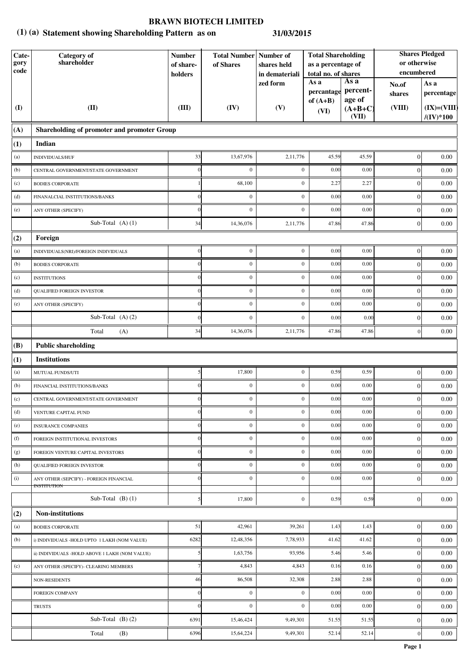### **Statement showing Shareholding Pattern as on (1) (a) 31/03/2015**

| Cate-<br>gory<br>$\mathbf{code}$ | Category of<br>shareholder                                    | <b>Number</b><br>of share-<br>holders | of Shares        | <b>Total Number Number of</b><br>shares held<br>in demateriali<br>As a<br>As a<br>zed form |                          | <b>Total Shareholding</b><br>as a percentage of<br>total no. of shares |                  | <b>Shares Pledged</b><br>or otherwise<br>encumbered |
|----------------------------------|---------------------------------------------------------------|---------------------------------------|------------------|--------------------------------------------------------------------------------------------|--------------------------|------------------------------------------------------------------------|------------------|-----------------------------------------------------|
|                                  |                                                               |                                       |                  |                                                                                            | percantage<br>of $(A+B)$ | percent-<br>age of                                                     | No.of<br>shares  | As a<br>percentage                                  |
| <b>(I)</b>                       | (II)                                                          | (III)                                 | (IV)             | (V)                                                                                        | (VI)                     | $(A+B+C)$<br>(VII)                                                     | (VIII)           | $(IX)=(VIII)$<br>$/(\mathrm{IV})^*100$              |
| (A)                              | Shareholding of promoter and promoter Group                   |                                       |                  |                                                                                            |                          |                                                                        |                  |                                                     |
| (1)                              | Indian                                                        |                                       |                  |                                                                                            |                          |                                                                        |                  |                                                     |
| (a)                              | INDIVIDUALS/HUF                                               | 33                                    | 13,67,976        | 2,11,776                                                                                   | 45.59                    | 45.59                                                                  | $\boldsymbol{0}$ | $0.00\,$                                            |
| (b)                              | CENTRAL GOVERNMENT/STATE GOVERNMENT                           | $\Omega$                              | $\boldsymbol{0}$ | $\boldsymbol{0}$                                                                           | 0.00                     | 0.00                                                                   | $\boldsymbol{0}$ | 0.00                                                |
| (c)                              | <b>BODIES CORPORATE</b>                                       |                                       | 68,100           | $\mathbf{0}$                                                                               | 2.27                     | 2.27                                                                   | $\overline{0}$   | 0.00                                                |
| (d)                              | FINANALCIAL INSTITUTIONS/BANKS                                | $\Omega$                              | $\boldsymbol{0}$ | $\mathbf{0}$                                                                               | 0.00                     | 0.00                                                                   | $\boldsymbol{0}$ | 0.00                                                |
| (e)                              | ANY OTHER (SPECIFY)                                           |                                       | $\mathbf{0}$     | $\mathbf{0}$                                                                               | 0.00                     | 0.00                                                                   | $\boldsymbol{0}$ | 0.00                                                |
|                                  | Sub-Total $(A)$ $(1)$                                         | 34                                    | 14,36,076        | 2,11,776                                                                                   | 47.86                    | 47.86                                                                  | $\boldsymbol{0}$ | $0.00\,$                                            |
| (2)                              | Foreign                                                       |                                       |                  |                                                                                            |                          |                                                                        |                  |                                                     |
| (a)                              | INDIVIDUALS(NRI)/FOREIGN INDIVIDUALS                          | $\Omega$                              | $\boldsymbol{0}$ | $\mathbf{0}$                                                                               | 0.00                     | 0.00                                                                   | $\boldsymbol{0}$ | 0.00                                                |
| (b)                              | <b>BODIES CORPORATE</b>                                       |                                       | $\boldsymbol{0}$ | $\boldsymbol{0}$                                                                           | 0.00                     | 0.00                                                                   | $\boldsymbol{0}$ | 0.00                                                |
| (c)                              | <b>INSTITUTIONS</b>                                           |                                       | $\boldsymbol{0}$ | $\boldsymbol{0}$                                                                           | 0.00                     | 0.00                                                                   | $\boldsymbol{0}$ | 0.00                                                |
| (d)                              | <b>QUALIFIED FOREIGN INVESTOR</b>                             |                                       | $\boldsymbol{0}$ | $\boldsymbol{0}$                                                                           | 0.00                     | 0.00                                                                   | $\boldsymbol{0}$ | 0.00                                                |
| (e)                              | ANY OTHER (SPECIFY)                                           |                                       | $\boldsymbol{0}$ | $\mathbf{0}$                                                                               | 0.00                     | 0.00                                                                   | $\boldsymbol{0}$ | 0.00                                                |
|                                  | Sub-Total $(A)$ $(2)$                                         |                                       | $\boldsymbol{0}$ | $\mathbf{0}$                                                                               | 0.00                     | 0.00                                                                   | $\boldsymbol{0}$ | 0.00                                                |
|                                  | Total<br>(A)                                                  | 34                                    | 14,36,076        | 2,11,776                                                                                   | 47.86                    | 47.86                                                                  | $\overline{0}$   | 0.00                                                |
| (B)                              | <b>Public shareholding</b>                                    |                                       |                  |                                                                                            |                          |                                                                        |                  |                                                     |
| (1)                              | <b>Institutions</b>                                           |                                       |                  |                                                                                            |                          |                                                                        |                  |                                                     |
| (a)                              | MUTUAL FUNDS/UTI                                              | 5 <sup>1</sup>                        | 17,800           | $\mathbf{0}$                                                                               | 0.59                     | 0.59                                                                   | 0                | $0.00\,$                                            |
| (b)                              | FINANCIAL INSTITUTIONS/BANKS                                  |                                       | $\boldsymbol{0}$ | $\mathbf{0}$                                                                               | 0.00                     | 0.00                                                                   | $\boldsymbol{0}$ | $0.00\,$                                            |
| (c)                              | CENTRAL GOVERNMENT/STATE GOVERNMENT                           | $\Omega$                              | $\boldsymbol{0}$ | $\boldsymbol{0}$                                                                           | 0.00                     | 0.00                                                                   | $\vert 0 \vert$  | 0.00                                                |
| (d)                              | VENTURE CAPITAL FUND                                          |                                       | $\boldsymbol{0}$ | $\mathbf{0}$                                                                               | 0.00                     | 0.00                                                                   | $\boldsymbol{0}$ | 0.00                                                |
| (e)                              | INSURANCE COMPANIES                                           |                                       | $\boldsymbol{0}$ | $\boldsymbol{0}$                                                                           | 0.00                     | 0.00                                                                   | $\boldsymbol{0}$ | 0.00                                                |
| (f)                              | FOREIGN INSTITUTIONAL INVESTORS                               |                                       | $\boldsymbol{0}$ | $\overline{0}$                                                                             | 0.00                     | 0.00                                                                   | $\boldsymbol{0}$ | 0.00                                                |
| (g)                              | FOREIGN VENTURE CAPITAL INVESTORS                             | $\Omega$                              | $\boldsymbol{0}$ | $\mathbf{0}$                                                                               | 0.00                     | 0.00                                                                   | $\overline{0}$   | 0.00                                                |
| (h)                              | <b>QUALIFIED FOREIGN INVESTOR</b>                             | $\Omega$                              | $\boldsymbol{0}$ | $\mathbf{0}$                                                                               | 0.00                     | 0.00                                                                   | $\overline{0}$   | 0.00                                                |
| (i)                              | ANY OTHER (SEPCIFY) - FOREIGN FINANCIAL<br><b>INSTITUTION</b> |                                       | $\boldsymbol{0}$ | $\mathbf{0}$                                                                               | 0.00                     | 0.00                                                                   | $\overline{0}$   | 0.00                                                |
|                                  | Sub-Total $(B)(1)$                                            | $\mathcal{F}$                         | 17,800           | $\mathbf{0}$                                                                               | 0.59                     | 0.59                                                                   | $\vert$ 0        | 0.00                                                |
| (2)                              | Non-institutions                                              |                                       |                  |                                                                                            |                          |                                                                        |                  |                                                     |
| (a)                              | <b>BODIES CORPORATE</b>                                       | 51                                    | 42,961           | 39,261                                                                                     | 1.43                     | 1.43                                                                   | $\overline{0}$   | 0.00                                                |
| (b)                              | i) INDIVIDUALS -HOLD UPTO 1 LAKH (NOM VALUE)                  | 6282                                  | 12,48,356        | 7,78,933                                                                                   | 41.62                    | 41.62                                                                  | $\overline{0}$   | 0.00                                                |
|                                  | ii) INDIVIDUALS -HOLD ABOVE 1 LAKH (NOM VALUE)                |                                       | 1,63,756         | 93,956                                                                                     | 5.46                     | 5.46                                                                   | $\overline{0}$   | 0.00                                                |
| (c)                              | ANY OTHER (SPECIFY)- CLEARING MEMBERS                         |                                       | 4,843            | 4,843                                                                                      | 0.16                     | 0.16                                                                   | $\overline{0}$   | 0.00                                                |
|                                  | <b>NON-RESIDENTS</b>                                          | 46                                    | 86,508           | 32,308                                                                                     | 2.88                     | 2.88                                                                   | $\boldsymbol{0}$ | 0.00                                                |
|                                  | <b>FOREIGN COMPANY</b>                                        | $\Omega$                              | $\boldsymbol{0}$ | $\mathbf{0}$                                                                               | 0.00                     | 0.00                                                                   | $\boldsymbol{0}$ | 0.00                                                |
|                                  | <b>TRUSTS</b>                                                 | $\Omega$                              | $\boldsymbol{0}$ | $\mathbf{0}$                                                                               | 0.00                     | 0.00                                                                   | $\mathbf{0}$     | 0.00                                                |
|                                  | Sub-Total $(B)(2)$                                            | 6391                                  | 15,46,424        | 9,49,301                                                                                   | 51.55                    | 51.55                                                                  | $\boldsymbol{0}$ | 0.00                                                |
|                                  | Total<br>(B)                                                  | 6396                                  | 15,64,224        | 9,49,301                                                                                   | 52.14                    | 52.14                                                                  | $\overline{0}$   | 0.00                                                |

**Page 1**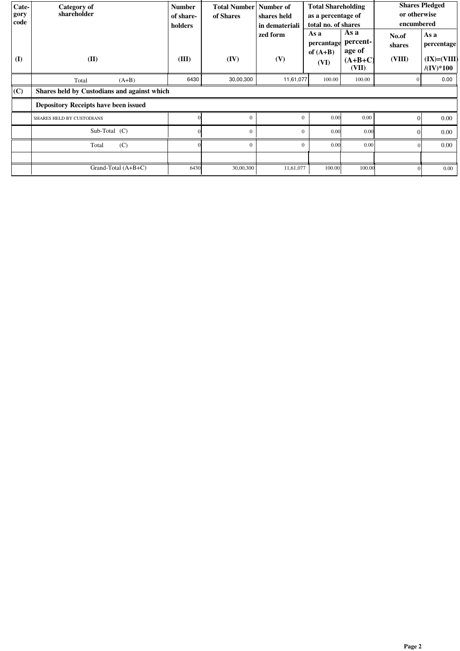| Cate- | Category of                                 | <b>Number</b> | <b>Total Number   Number of</b> |                | <b>Total Shareholding</b> |                    | <b>Shares Pledged</b> |                                   |
|-------|---------------------------------------------|---------------|---------------------------------|----------------|---------------------------|--------------------|-----------------------|-----------------------------------|
| gory  | shareholder                                 | of share-     | of Shares                       | shares held    | as a percentage of        |                    | or otherwise          |                                   |
| code  |                                             | holders       |                                 | in demateriali | total no. of shares       |                    | encumbered            |                                   |
|       |                                             |               |                                 | zed form       | As a                      | As a               | No.of                 | As a                              |
|       |                                             |               |                                 |                | percantage                | percent-           | shares                | percentage                        |
|       |                                             |               |                                 |                | of $(A+B)$                | age of             |                       |                                   |
| (I)   | (II)                                        | (III)         | (IV)                            | (V)            | (VI)                      | $(A+B+C)$<br>(VII) | (VIII)                | $(IX)=(VIII)$<br>$/(\rm{IV})*100$ |
|       | $(A+B)$<br>Total                            | 6430          | 30,00,300                       | 11,61,077      | 100.00                    | 100.00             | $\theta$              | 0.00                              |
| (C)   | Shares held by Custodians and against which |               |                                 |                |                           |                    |                       |                                   |
|       | <b>Depository Receipts have been issued</b> |               |                                 |                |                           |                    |                       |                                   |
|       | <b>SHARES HELD BY CUSTODIANS</b>            |               | $\theta$                        | $\Omega$       | 0.00                      | 0.00               | $\Omega$              | 0.00                              |
|       | Sub-Total (C)                               |               | $\mathbf{0}$                    | $\Omega$       | 0.00                      | 0.00               | $\Omega$              | 0.00                              |
|       | (C)<br>Total                                |               | $\theta$                        | $\Omega$       | 0.00                      | 0.00               |                       | 0.00                              |
|       |                                             |               |                                 |                |                           |                    |                       |                                   |
|       | Grand-Total $(A+B+C)$                       | 6430          | 30,00,300                       | 11,61,077      | 100.00                    | 100.00             |                       | $0.00\,$                          |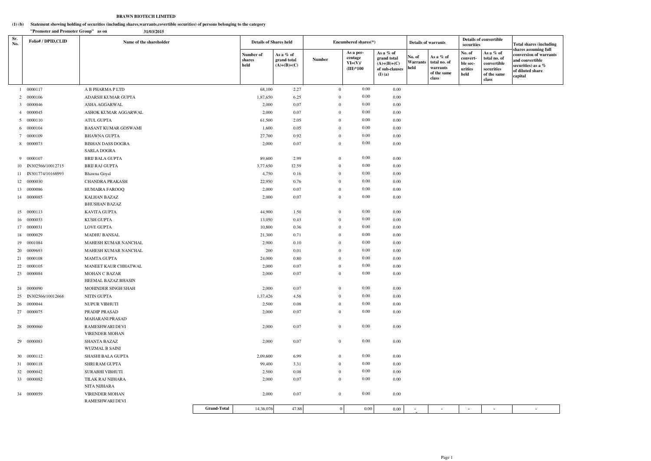#### **Statement showing holding of securities (including shares,warrants,covertible securities) of persons belonging to the category (1) (b)**

### **BRAWN BIOTECH LIMITED**

|            | "Promoter and Promoter Group" as on | 31/03/2015                                     |                                 |                                           |                |                                                  |                                                                            |                                   |                                                               |                                                   |                                                                                |                                                                                                                        |
|------------|-------------------------------------|------------------------------------------------|---------------------------------|-------------------------------------------|----------------|--------------------------------------------------|----------------------------------------------------------------------------|-----------------------------------|---------------------------------------------------------------|---------------------------------------------------|--------------------------------------------------------------------------------|------------------------------------------------------------------------------------------------------------------------|
| Sr.<br>No. | <b>Folio#/DPID,CLID</b>             | Name of the shareholder                        |                                 | <b>Details of Shares held</b>             |                | Encumbered shares(*)                             |                                                                            | <b>Details of warrants</b>        |                                                               | securities                                        | <b>Details of convertible</b>                                                  | <b>Total shares (including</b>                                                                                         |
|            |                                     |                                                | Number of<br>shares<br>held     | As a % of<br>grand total<br>$(A)+(B)+(C)$ | Number         | As a per-<br>centage<br>$VI=(V)/$<br>$(III)*100$ | As a % of<br>grand total<br>$(A)+(B)+(C)$<br>of sub-clauses<br>$(I)$ $(a)$ | No. of<br><b>Warrants</b><br>held | As a % of<br>total no. of<br>warrants<br>of the same<br>class | No. of<br>convert-<br>ble sec-<br>urities<br>held | As a % of<br>total no. of<br>convertible<br>securities<br>of the same<br>class | shares assuming full<br>conversion of warrants<br>and convertible<br>securities) as a %<br>of diluted share<br>capital |
|            | 1 0000117                           | A B PHARMA P LTD                               | 68,100                          | 2.27                                      |                | $0.00\,$<br>$\overline{0}$                       | 0.00                                                                       |                                   |                                                               |                                                   |                                                                                |                                                                                                                        |
|            | 2 0000106                           | ADARSH KUMAR GUPTA                             | 1,87,650                        | 6.25                                      | $\overline{0}$ | $0.00\,$                                         | 0.00                                                                       |                                   |                                                               |                                                   |                                                                                |                                                                                                                        |
|            | 3 0000046                           | ASHA AGGARWAL                                  | 2,000                           | 0.07                                      | $\overline{0}$ | $0.00\,$                                         | 0.00                                                                       |                                   |                                                               |                                                   |                                                                                |                                                                                                                        |
|            | 4 0000045                           | ASHOK KUMAR AGGARWAL                           | 2,000                           | 0.07                                      | $\theta$       | $0.00\,$                                         | 0.00                                                                       |                                   |                                                               |                                                   |                                                                                |                                                                                                                        |
|            | 5 0000110                           | ATUL GUPTA                                     | 61,500                          | 2.05                                      | $\mathbf{0}$   | $0.00\,$                                         | 0.00                                                                       |                                   |                                                               |                                                   |                                                                                |                                                                                                                        |
|            | 6 0000104                           | <b>BASANT KUMAR GOSWAMI</b>                    | 1,600                           | 0.05                                      | $\theta$       | $0.00\,$                                         | 0.00                                                                       |                                   |                                                               |                                                   |                                                                                |                                                                                                                        |
|            | 7 0000109                           | <b>BHAWNA GUPTA</b>                            | 27,700                          | 0.92                                      | $\theta$       | $0.00\,$                                         | 0.00                                                                       |                                   |                                                               |                                                   |                                                                                |                                                                                                                        |
|            | 8 0000073                           | <b>BISHAN DASS DOGRA</b><br><b>SARLA DOGRA</b> | 2,000                           | 0.07                                      | $\overline{0}$ | $0.00\,$                                         | 0.00                                                                       |                                   |                                                               |                                                   |                                                                                |                                                                                                                        |
|            | 9 0000107                           | <b>BRIJ BALA GUPTA</b>                         | 89,600                          | 2.99                                      | $\overline{0}$ | $0.00\,$                                         | 0.00                                                                       |                                   |                                                               |                                                   |                                                                                |                                                                                                                        |
|            | 10 IN302566/10012715                | <b>BRIJ RAJ GUPTA</b>                          | 3,77,650                        | 12.59                                     | $\overline{0}$ | $0.00\,$                                         | 0.00                                                                       |                                   |                                                               |                                                   |                                                                                |                                                                                                                        |
|            | 11 IN301774/10168993                | Bhawna Goyal                                   | 4,750                           | 0.16                                      | $\overline{0}$ | $0.00\,$                                         | 0.00                                                                       |                                   |                                                               |                                                   |                                                                                |                                                                                                                        |
|            | 12 0000030                          | CHANDRA PRAKASH                                | 22,950                          | 0.76                                      | $\overline{0}$ | $0.00\,$                                         | 0.00                                                                       |                                   |                                                               |                                                   |                                                                                |                                                                                                                        |
|            | 13 0000086                          | HUMAIRA FAROOQ                                 | 2,000                           | 0.07                                      | $\mathbf{0}$   | $0.00\,$                                         | 0.00                                                                       |                                   |                                                               |                                                   |                                                                                |                                                                                                                        |
|            | 14 0000085                          | <b>KALHAN BAZAZ</b><br><b>BHUSHAN BAZAZ</b>    | 2,000                           | 0.07                                      | $\overline{0}$ | $0.00\,$                                         | 0.00                                                                       |                                   |                                                               |                                                   |                                                                                |                                                                                                                        |
|            | 15 0000113                          | <b>KAVITA GUPTA</b>                            | 44,900                          | 1.50                                      | $\theta$       | $0.00\,$                                         | 0.00                                                                       |                                   |                                                               |                                                   |                                                                                |                                                                                                                        |
|            | 16 0000033                          | <b>KUSH GUPTA</b>                              | 13,050                          | 0.43                                      | $\overline{0}$ | $0.00\,$                                         | 0.00                                                                       |                                   |                                                               |                                                   |                                                                                |                                                                                                                        |
|            | 17 0000031                          | <b>LOVE GUPTA</b>                              | 10,800                          | 0.36                                      | $\overline{0}$ | $0.00\,$                                         | 0.00                                                                       |                                   |                                                               |                                                   |                                                                                |                                                                                                                        |
|            | 18 0000029                          | <b>MADHU BANSAL</b>                            | 21,300                          | 0.71                                      | $\overline{0}$ | $0.00\,$                                         | 0.00                                                                       |                                   |                                                               |                                                   |                                                                                |                                                                                                                        |
|            | 19 0001084                          | MAHESH KUMAR NANCHAL                           | 2,900                           | 0.10                                      | $\theta$       | $0.00\,$                                         | 0.00                                                                       |                                   |                                                               |                                                   |                                                                                |                                                                                                                        |
|            | 20 0009693                          | MAHESH KUMAR NANCHAL                           |                                 | 200<br>0.01                               | $\overline{0}$ | $0.00\,$                                         | 0.00                                                                       |                                   |                                                               |                                                   |                                                                                |                                                                                                                        |
|            | 21 0000108                          | <b>MAMTA GUPTA</b>                             | 24,000                          | 0.80                                      | $\overline{0}$ | $0.00\,$                                         | 0.00                                                                       |                                   |                                                               |                                                   |                                                                                |                                                                                                                        |
|            | 22 0000105                          | MANEET KAUR CHHATWAL                           | 2,000                           | 0.07                                      | $\overline{0}$ | $0.00\,$                                         | 0.00                                                                       |                                   |                                                               |                                                   |                                                                                |                                                                                                                        |
|            | 23 0000084                          | MOHAN C BAZAR<br>HEEMAL BAZAZ BHASIN           | 2,000                           | 0.07                                      |                | $0.00\,$<br>$\overline{0}$                       | $0.00\,$                                                                   |                                   |                                                               |                                                   |                                                                                |                                                                                                                        |
|            | 24 0000090                          | MOHINDER SINGH SHAH                            | 2,000                           | 0.07                                      |                | $0.00\,$<br>$\overline{0}$                       | $0.00\,$                                                                   |                                   |                                                               |                                                   |                                                                                |                                                                                                                        |
|            | 25 IN302566/10012668                | NITIN GUPTA                                    | 1,37,426                        | 4.58                                      | $\overline{0}$ | $0.00\,$                                         | 0.00                                                                       |                                   |                                                               |                                                   |                                                                                |                                                                                                                        |
|            | 26 0000044                          | NUPUR VIBHUTI                                  | 2,500                           | 0.08                                      | $\mathbf{0}$   | $0.00\,$                                         | 0.00                                                                       |                                   |                                                               |                                                   |                                                                                |                                                                                                                        |
|            | 27 0000075                          | PRADIP PRASAD<br>MAHARANI PRASAD               | 2,000                           | 0.07                                      | $\overline{0}$ | $0.00\,$                                         | 0.00                                                                       |                                   |                                                               |                                                   |                                                                                |                                                                                                                        |
|            | 28 0000060                          | RAMESHWARI DEVI<br><b>VIRENDER MOHAN</b>       | 2,000                           | $0.07\,$                                  |                | $0.00\,$<br>$\overline{0}$                       | 0.00                                                                       |                                   |                                                               |                                                   |                                                                                |                                                                                                                        |
|            | 29 00000083                         | <b>SHANTA BAZAZ</b><br><b>WUZMAL B SAINI</b>   | 2,000                           | $0.07\,$                                  |                | $0.00\,$<br>$\overline{0}$                       | 0.00                                                                       |                                   |                                                               |                                                   |                                                                                |                                                                                                                        |
|            | 30 0000112                          | SHASHI BALA GUPTA                              | 2,09,600                        | 6.99                                      | $\overline{0}$ | $0.00\,$                                         | 0.00                                                                       |                                   |                                                               |                                                   |                                                                                |                                                                                                                        |
|            | 31 0000118                          | SHRI RAM GUPTA                                 | 99,400                          | 3.31                                      | $\overline{0}$ | $0.00\,$                                         | $0.00\,$                                                                   |                                   |                                                               |                                                   |                                                                                |                                                                                                                        |
|            | 32 0000042                          | SURABHI VIBHUTI                                | 2,500                           | 0.08                                      | $\overline{0}$ | $0.00\,$                                         | 0.00                                                                       |                                   |                                                               |                                                   |                                                                                |                                                                                                                        |
|            | 33 0000082                          | TILAK RAJ NIJHARA                              | 2,000                           | 0.07                                      |                | $0.00\,$<br>$\overline{0}$                       | 0.00                                                                       |                                   |                                                               |                                                   |                                                                                |                                                                                                                        |
|            |                                     | NITA NIJHARA                                   |                                 |                                           |                |                                                  |                                                                            |                                   |                                                               |                                                   |                                                                                |                                                                                                                        |
|            | 34 0000059                          | <b>VIRENDER MOHAN</b>                          | 2,000                           | $0.07\,$                                  |                | $0.00\,$<br>$\overline{0}$                       | 0.00                                                                       |                                   |                                                               |                                                   |                                                                                |                                                                                                                        |
|            |                                     | RAMESHWARI DEVI                                |                                 |                                           |                |                                                  |                                                                            |                                   |                                                               |                                                   |                                                                                |                                                                                                                        |
|            |                                     |                                                | <b>Grand-Total</b><br>14,36,076 | 47.86                                     |                | $\overline{0}$<br>$0.00\,$                       | $0.00\,$                                                                   |                                   |                                                               |                                                   |                                                                                |                                                                                                                        |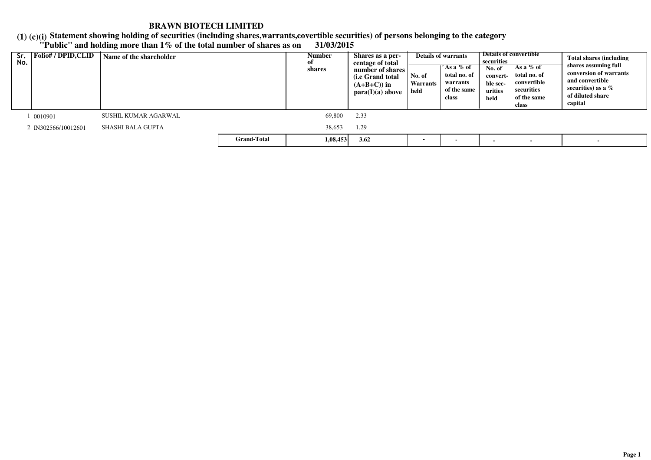### **(1) (c)(i) "Public" and holding more than 1% of the total number of shares as on 31/03/2015Statement showing holding of securities (including shares,warrants,covertible securities) of persons belonging to the category**

| Sr.<br>No. | Folio# / DPID,CLID  | Name of the shareholder |                    | Number<br>оf<br>shares | Shares as a per-<br>centage of total<br>number of shares<br>(i.e Grand total<br>$(A+B+C)$ in<br>para(I)(a) above |  | <b>Details of warrants</b><br>$'$ As a $\%$ of<br>total no. of<br>warrants<br>of the same<br>class | securities<br>No. of<br>convert-<br>ble sec-<br>urities<br>held | Details of convertible<br>As a $%$ of<br>total no. of<br>convertible<br>securities<br>of the same<br>class | <b>Total shares (including</b><br>shares assuming full<br>conversion of warrants<br>and convertible<br>securities) as a $%$<br>of diluted share<br>capital |
|------------|---------------------|-------------------------|--------------------|------------------------|------------------------------------------------------------------------------------------------------------------|--|----------------------------------------------------------------------------------------------------|-----------------------------------------------------------------|------------------------------------------------------------------------------------------------------------|------------------------------------------------------------------------------------------------------------------------------------------------------------|
|            | 0010901             | SUSHIL KUMAR AGARWAL    |                    | 69,800                 | 2.33                                                                                                             |  |                                                                                                    |                                                                 |                                                                                                            |                                                                                                                                                            |
|            | 2 IN302566/10012601 | SHASHI BALA GUPTA       |                    | 38,653                 | 1.29                                                                                                             |  |                                                                                                    |                                                                 |                                                                                                            |                                                                                                                                                            |
|            |                     |                         | <b>Grand-Total</b> | 1,08,453               | 3.62                                                                                                             |  |                                                                                                    |                                                                 |                                                                                                            | $\overline{\phantom{0}}$                                                                                                                                   |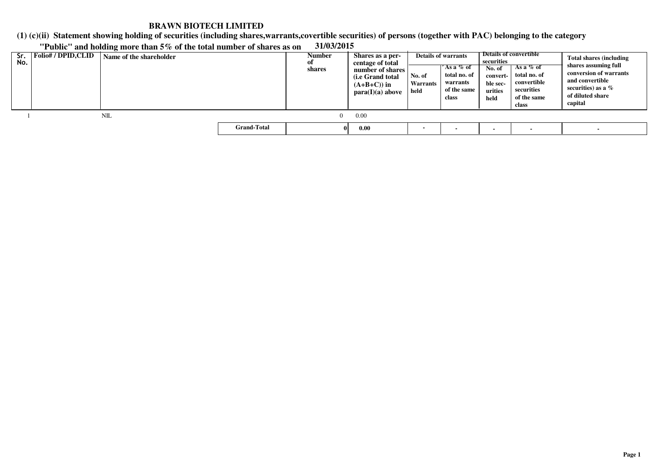**(1) (c)(ii)Statement showing holding of securities (including shares,warrants,covertible securities) of persons (together with PAC) belonging to the category**

| Sr.<br>No. | <b>Folio#/DPID,CLID</b> | Name of the shareholder |                    | <b>Number</b><br>of<br>shares | Shares as a per-<br>centage of total<br>number of shares<br>(i.e Grand total)<br>$(A+B+C)$ in<br>para(I)(a) above | No. of<br><b>Warrants</b><br>held | <b>Details of warrants</b><br>'As a % of<br>total no. of<br>warrants<br>of the same<br>class | securities<br>No. of<br>convert-<br>ble sec-<br>urities<br>held | Details of convertible<br>As a $%$ of<br>total no. of<br>convertible<br>securities<br>of the same<br>class | <b>Total shares (including</b><br>shares assuming full<br>conversion of warrants<br>and convertible<br>securities) as a $%$<br>of diluted share<br>capital |
|------------|-------------------------|-------------------------|--------------------|-------------------------------|-------------------------------------------------------------------------------------------------------------------|-----------------------------------|----------------------------------------------------------------------------------------------|-----------------------------------------------------------------|------------------------------------------------------------------------------------------------------------|------------------------------------------------------------------------------------------------------------------------------------------------------------|
|            |                         | NIL                     |                    | 0.                            | 0.00                                                                                                              |                                   |                                                                                              |                                                                 |                                                                                                            |                                                                                                                                                            |
|            |                         |                         | <b>Grand-Total</b> |                               | 0.00                                                                                                              | $\overline{\phantom{a}}$          | $\blacksquare$                                                                               |                                                                 |                                                                                                            |                                                                                                                                                            |

 $\mathcal{L}$ 

## **"Public" and holding more than 5% of the total number of shares as on 31/03/2015**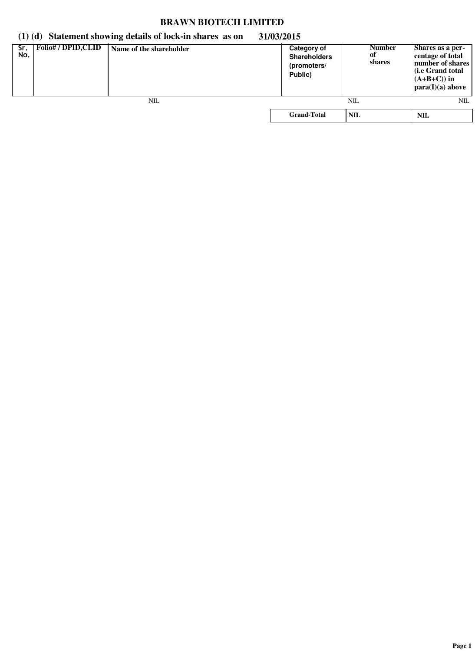# **(1) (d) Statement showing details of lock-in shares as on 31/03/2015**

| Sr.<br>No. | <b>Folio#/DPID,CLID</b> | Name of the shareholder | Category of<br><b>Shareholders</b><br>(promoters/<br>Public) | <b>Number</b><br>of<br>shares | Shares as a per-<br>centage of total<br>number of shares<br>( <i>i.e</i> Grand total<br>$(A+B+C)$ in<br>para(I)(a) above |
|------------|-------------------------|-------------------------|--------------------------------------------------------------|-------------------------------|--------------------------------------------------------------------------------------------------------------------------|
|            |                         | NIL                     |                                                              | NIL                           | NIL                                                                                                                      |
|            |                         |                         | <b>Grand-Total</b>                                           | <b>NIL</b>                    | NIL                                                                                                                      |